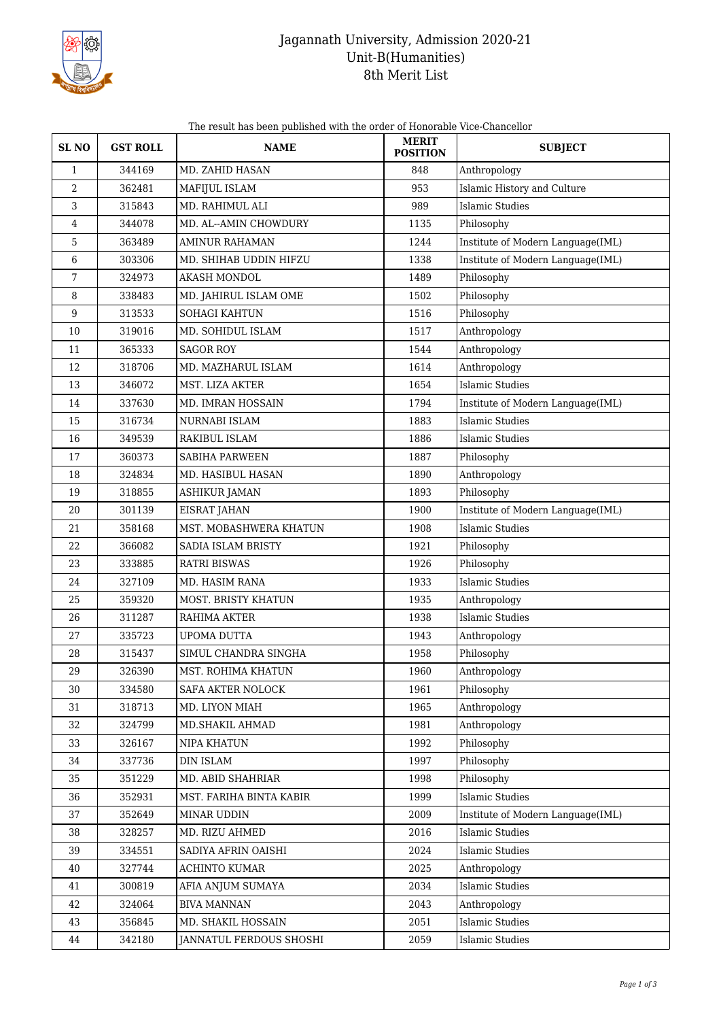

## Jagannath University, Admission 2020-21 Unit-B(Humanities) 8th Merit List

| SL <sub>NO</sub> | <b>GST ROLL</b> | <b>NAME</b>             | <b>MERIT</b><br><b>POSITION</b> | <b>SUBJECT</b>                    |
|------------------|-----------------|-------------------------|---------------------------------|-----------------------------------|
| $\mathbf{1}$     | 344169          | MD. ZAHID HASAN         | 848                             | Anthropology                      |
| $\overline{2}$   | 362481          | MAFIJUL ISLAM           | 953                             | Islamic History and Culture       |
| 3                | 315843          | MD. RAHIMUL ALI         | 989                             | <b>Islamic Studies</b>            |
| 4                | 344078          | MD. AL--AMIN CHOWDURY   | 1135                            | Philosophy                        |
| 5                | 363489          | <b>AMINUR RAHAMAN</b>   | 1244                            | Institute of Modern Language(IML) |
| 6                | 303306          | MD. SHIHAB UDDIN HIFZU  | 1338                            | Institute of Modern Language(IML) |
| 7                | 324973          | <b>AKASH MONDOL</b>     | 1489                            | Philosophy                        |
| 8                | 338483          | MD. JAHIRUL ISLAM OME   | 1502                            | Philosophy                        |
| $\boldsymbol{9}$ | 313533          | SOHAGI KAHTUN           | 1516                            | Philosophy                        |
| 10               | 319016          | MD. SOHIDUL ISLAM       | 1517                            | Anthropology                      |
| 11               | 365333          | <b>SAGOR ROY</b>        | 1544                            | Anthropology                      |
| 12               | 318706          | MD. MAZHARUL ISLAM      | 1614                            | Anthropology                      |
| 13               | 346072          | MST. LIZA AKTER         | 1654                            | <b>Islamic Studies</b>            |
| 14               | 337630          | MD. IMRAN HOSSAIN       | 1794                            | Institute of Modern Language(IML) |
| 15               | 316734          | NURNABI ISLAM           | 1883                            | <b>Islamic Studies</b>            |
| 16               | 349539          | RAKIBUL ISLAM           | 1886                            | <b>Islamic Studies</b>            |
| 17               | 360373          | <b>SABIHA PARWEEN</b>   | 1887                            | Philosophy                        |
| 18               | 324834          | MD. HASIBUL HASAN       | 1890                            | Anthropology                      |
| 19               | 318855          | <b>ASHIKUR JAMAN</b>    | 1893                            | Philosophy                        |
| 20               | 301139          | EISRAT JAHAN            | 1900                            | Institute of Modern Language(IML) |
| 21               | 358168          | MST. MOBASHWERA KHATUN  | 1908                            | <b>Islamic Studies</b>            |
| 22               | 366082          | SADIA ISLAM BRISTY      | 1921                            | Philosophy                        |
| 23               | 333885          | <b>RATRI BISWAS</b>     | 1926                            | Philosophy                        |
| 24               | 327109          | MD. HASIM RANA          | 1933                            | <b>Islamic Studies</b>            |
| 25               | 359320          | MOST. BRISTY KHATUN     | 1935                            | Anthropology                      |
| 26               | 311287          | RAHIMA AKTER            | 1938                            | Islamic Studies                   |
| 27               | 335723          | UPOMA DUTTA             | 1943                            | Anthropology                      |
| 28               | 315437          | SIMUL CHANDRA SINGHA    | 1958                            | Philosophy                        |
| 29               | 326390          | MST. ROHIMA KHATUN      | 1960                            | Anthropology                      |
| 30               | 334580          | SAFA AKTER NOLOCK       | 1961                            | Philosophy                        |
| 31               | 318713          | MD. LIYON MIAH          | 1965                            | Anthropology                      |
| 32               | 324799          | MD.SHAKIL AHMAD         | 1981                            | Anthropology                      |
| 33               | 326167          | NIPA KHATUN             | 1992                            | Philosophy                        |
| 34               | 337736          | <b>DIN ISLAM</b>        | 1997                            | Philosophy                        |
| 35               | 351229          | MD. ABID SHAHRIAR       | 1998                            | Philosophy                        |
| 36               | 352931          | MST. FARIHA BINTA KABIR | 1999                            | Islamic Studies                   |
| 37               | 352649          | MINAR UDDIN             | 2009                            | Institute of Modern Language(IML) |
| 38               | 328257          | MD. RIZU AHMED          | 2016                            | <b>Islamic Studies</b>            |
| 39               | 334551          | SADIYA AFRIN OAISHI     | 2024                            | <b>Islamic Studies</b>            |
| 40               | 327744          | ACHINTO KUMAR           | 2025                            | Anthropology                      |
| 41               | 300819          | AFIA ANJUM SUMAYA       | 2034                            | <b>Islamic Studies</b>            |
| 42               | 324064          | <b>BIVA MANNAN</b>      | 2043                            | Anthropology                      |
| 43               | 356845          | MD. SHAKIL HOSSAIN      | 2051                            | <b>Islamic Studies</b>            |
| 44               | 342180          | JANNATUL FERDOUS SHOSHI | 2059                            | <b>Islamic Studies</b>            |

The result has been published with the order of Honorable Vice-Chancellor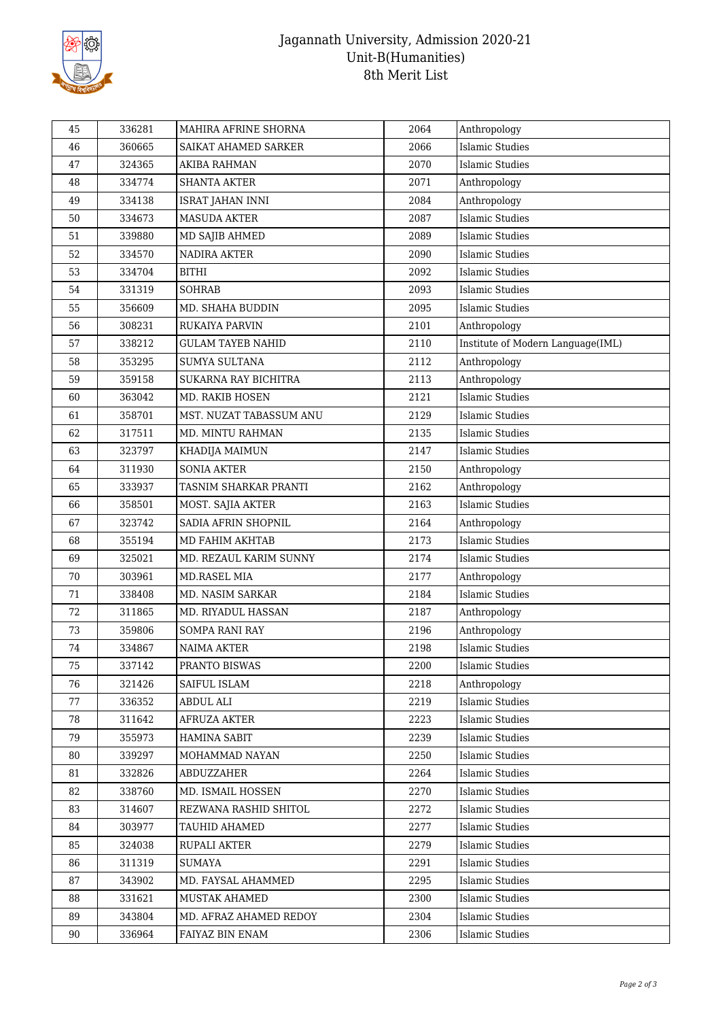

## Jagannath University, Admission 2020-21 Unit-B(Humanities) 8th Merit List

| 45 | 336281 | MAHIRA AFRINE SHORNA     | 2064 | Anthropology                      |
|----|--------|--------------------------|------|-----------------------------------|
| 46 | 360665 | SAIKAT AHAMED SARKER     | 2066 | <b>Islamic Studies</b>            |
| 47 | 324365 | AKIBA RAHMAN             | 2070 | Islamic Studies                   |
| 48 | 334774 | <b>SHANTA AKTER</b>      | 2071 | Anthropology                      |
| 49 | 334138 | <b>ISRAT JAHAN INNI</b>  | 2084 | Anthropology                      |
| 50 | 334673 | <b>MASUDA AKTER</b>      | 2087 | <b>Islamic Studies</b>            |
| 51 | 339880 | MD SAJIB AHMED           | 2089 | <b>Islamic Studies</b>            |
| 52 | 334570 | NADIRA AKTER             | 2090 | <b>Islamic Studies</b>            |
| 53 | 334704 | <b>BITHI</b>             | 2092 | <b>Islamic Studies</b>            |
| 54 | 331319 | <b>SOHRAB</b>            | 2093 | <b>Islamic Studies</b>            |
| 55 | 356609 | MD. SHAHA BUDDIN         | 2095 | <b>Islamic Studies</b>            |
| 56 | 308231 | RUKAIYA PARVIN           | 2101 | Anthropology                      |
| 57 | 338212 | <b>GULAM TAYEB NAHID</b> | 2110 | Institute of Modern Language(IML) |
| 58 | 353295 | SUMYA SULTANA            | 2112 | Anthropology                      |
| 59 | 359158 | SUKARNA RAY BICHITRA     | 2113 | Anthropology                      |
| 60 | 363042 | MD. RAKIB HOSEN          | 2121 | <b>Islamic Studies</b>            |
| 61 | 358701 | MST. NUZAT TABASSUM ANU  | 2129 | <b>Islamic Studies</b>            |
| 62 | 317511 | MD. MINTU RAHMAN         | 2135 | <b>Islamic Studies</b>            |
| 63 | 323797 | KHADIJA MAIMUN           | 2147 | <b>Islamic Studies</b>            |
| 64 | 311930 | <b>SONIA AKTER</b>       | 2150 | Anthropology                      |
| 65 | 333937 | TASNIM SHARKAR PRANTI    | 2162 | Anthropology                      |
| 66 | 358501 | MOST. SAJIA AKTER        | 2163 | <b>Islamic Studies</b>            |
| 67 | 323742 | SADIA AFRIN SHOPNIL      | 2164 | Anthropology                      |
| 68 | 355194 | MD FAHIM AKHTAB          | 2173 | <b>Islamic Studies</b>            |
| 69 | 325021 | MD. REZAUL KARIM SUNNY   | 2174 | <b>Islamic Studies</b>            |
| 70 | 303961 | MD.RASEL MIA             | 2177 | Anthropology                      |
| 71 | 338408 | MD. NASIM SARKAR         | 2184 | <b>Islamic Studies</b>            |
| 72 | 311865 | MD. RIYADUL HASSAN       | 2187 | Anthropology                      |
| 73 | 359806 | SOMPA RANI RAY           | 2196 | Anthropology                      |
| 74 | 334867 | <b>NAIMA AKTER</b>       | 2198 | <b>Islamic Studies</b>            |
| 75 | 337142 | PRANTO BISWAS            | 2200 | Islamic Studies                   |
| 76 | 321426 | SAIFUL ISLAM             | 2218 | Anthropology                      |
| 77 | 336352 | <b>ABDUL ALI</b>         | 2219 | Islamic Studies                   |
| 78 | 311642 | <b>AFRUZA AKTER</b>      | 2223 | <b>Islamic Studies</b>            |
| 79 | 355973 | HAMINA SABIT             | 2239 | Islamic Studies                   |
| 80 | 339297 | MOHAMMAD NAYAN           | 2250 | <b>Islamic Studies</b>            |
| 81 | 332826 | ABDUZZAHER               | 2264 | Islamic Studies                   |
| 82 | 338760 | MD. ISMAIL HOSSEN        | 2270 | <b>Islamic Studies</b>            |
| 83 | 314607 | REZWANA RASHID SHITOL    | 2272 | Islamic Studies                   |
| 84 | 303977 | <b>TAUHID AHAMED</b>     | 2277 | <b>Islamic Studies</b>            |
| 85 | 324038 | RUPALI AKTER             | 2279 | <b>Islamic Studies</b>            |
| 86 | 311319 | <b>SUMAYA</b>            | 2291 | <b>Islamic Studies</b>            |
| 87 | 343902 | MD. FAYSAL AHAMMED       | 2295 | Islamic Studies                   |
| 88 | 331621 | <b>MUSTAK AHAMED</b>     | 2300 | Islamic Studies                   |
| 89 | 343804 | MD. AFRAZ AHAMED REDOY   | 2304 | Islamic Studies                   |
| 90 | 336964 | FAIYAZ BIN ENAM          | 2306 | Islamic Studies                   |
|    |        |                          |      |                                   |